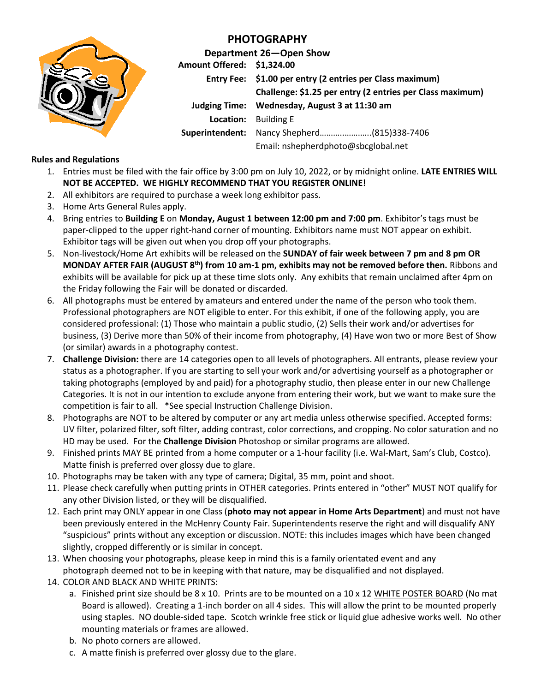

## **PHOTOGRAPHY**

**Department 26—Open Show Amount Offered: \$1,324.00 Entry Fee: \$1.00 per entry (2 entries per Class maximum) Challenge: \$1.25 per entry (2 entries per Class maximum) Judging Time: Wednesday, August 3 at 11:30 am Location:** Building E **Superintendent:** Nancy Shepherd………..…….…..(815)338-7406 Email: nshepherdphoto@sbcglobal.net

## **Rules and Regulations**

- 1. Entries must be filed with the fair office by 3:00 pm on July 10, 2022, or by midnight online. **LATE ENTRIES WILL NOT BE ACCEPTED. WE HIGHLY RECOMMEND THAT YOU REGISTER ONLINE!**
- 2. All exhibitors are required to purchase a week long exhibitor pass.
- 3. Home Arts General Rules apply.
- 4. Bring entries to **Building E** on **Monday, August 1 between 12:00 pm and 7:00 pm**. Exhibitor's tags must be paper-clipped to the upper right-hand corner of mounting. Exhibitors name must NOT appear on exhibit. Exhibitor tags will be given out when you drop off your photographs.
- 5. Non-livestock/Home Art exhibits will be released on the **SUNDAY of fair week between 7 pm and 8 pm OR MONDAY AFTER FAIR (AUGUST 8 th) from 10 am-1 pm, exhibits may not be removed before then.** Ribbons and exhibits will be available for pick up at these time slots only. Any exhibits that remain unclaimed after 4pm on the Friday following the Fair will be donated or discarded.
- 6. All photographs must be entered by amateurs and entered under the name of the person who took them. Professional photographers are NOT eligible to enter. For this exhibit, if one of the following apply, you are considered professional: (1) Those who maintain a public studio, (2) Sells their work and/or advertises for business, (3) Derive more than 50% of their income from photography, (4) Have won two or more Best of Show (or similar) awards in a photography contest.
- 7. **Challenge Division:** there are 14 categories open to all levels of photographers. All entrants, please review your status as a photographer. If you are starting to sell your work and/or advertising yourself as a photographer or taking photographs (employed by and paid) for a photography studio, then please enter in our new Challenge Categories. It is not in our intention to exclude anyone from entering their work, but we want to make sure the competition is fair to all. \*See special Instruction Challenge Division.
- 8. Photographs are NOT to be altered by computer or any art media unless otherwise specified. Accepted forms: UV filter, polarized filter, soft filter, adding contrast, color corrections, and cropping. No color saturation and no HD may be used. For the **Challenge Division** Photoshop or similar programs are allowed.
- 9. Finished prints MAY BE printed from a home computer or a 1-hour facility (i.e. Wal-Mart, Sam's Club, Costco). Matte finish is preferred over glossy due to glare.
- 10. Photographs may be taken with any type of camera; Digital, 35 mm, point and shoot.
- 11. Please check carefully when putting prints in OTHER categories. Prints entered in "other" MUST NOT qualify for any other Division listed, or they will be disqualified.
- 12. Each print may ONLY appear in one Class (**photo may not appear in Home Arts Department**) and must not have been previously entered in the McHenry County Fair. Superintendents reserve the right and will disqualify ANY "suspicious" prints without any exception or discussion. NOTE: this includes images which have been changed slightly, cropped differently or is similar in concept.
- 13. When choosing your photographs, please keep in mind this is a family orientated event and any photograph deemed not to be in keeping with that nature, may be disqualified and not displayed.
- 14. COLOR AND BLACK AND WHITE PRINTS:
	- a. Finished print size should be 8 x 10. Prints are to be mounted on a 10 x 12 WHITE POSTER BOARD (No mat Board is allowed). Creating a 1-inch border on all 4 sides. This will allow the print to be mounted properly using staples. NO double-sided tape. Scotch wrinkle free stick or liquid glue adhesive works well. No other mounting materials or frames are allowed.
	- b. No photo corners are allowed.
	- c. A matte finish is preferred over glossy due to the glare.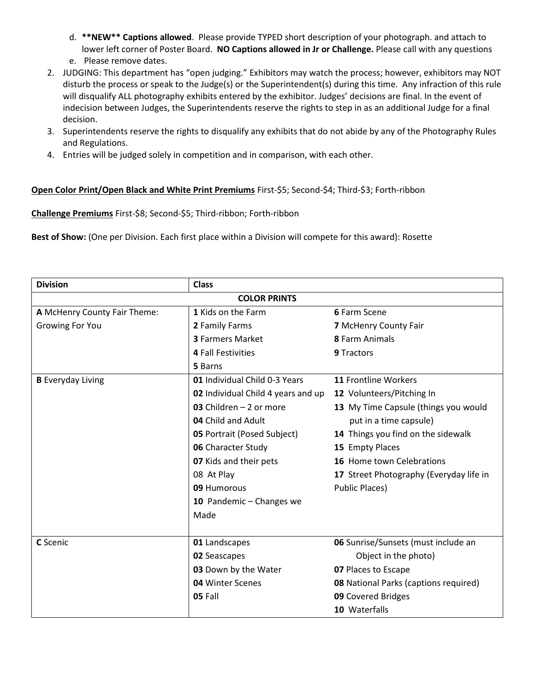- d. **\*\*NEW\*\* Captions allowed**. Please provide TYPED short description of your photograph. and attach to lower left corner of Poster Board. **NO Captions allowed in Jr or Challenge.** Please call with any questions e. Please remove dates.
- 
- 2. JUDGING: This department has "open judging." Exhibitors may watch the process; however, exhibitors may NOT disturb the process or speak to the Judge(s) or the Superintendent(s) during this time. Any infraction of this rule will disqualify ALL photography exhibits entered by the exhibitor. Judges' decisions are final. In the event of indecision between Judges, the Superintendents reserve the rights to step in as an additional Judge for a final decision.
- 3. Superintendents reserve the rights to disqualify any exhibits that do not abide by any of the Photography Rules and Regulations.
- 4. Entries will be judged solely in competition and in comparison, with each other.

## **Open Color Print/Open Black and White Print Premiums** First-\$5; Second-\$4; Third-\$3; Forth-ribbon

**Challenge Premiums** First-\$8; Second-\$5; Third-ribbon; Forth-ribbon

**Best of Show:** (One per Division. Each first place within a Division will compete for this award): Rosette

| <b>Division</b>              | <b>Class</b>                       |                                              |  |  |  |  |  |  |
|------------------------------|------------------------------------|----------------------------------------------|--|--|--|--|--|--|
| <b>COLOR PRINTS</b>          |                                    |                                              |  |  |  |  |  |  |
| A McHenry County Fair Theme: | 1 Kids on the Farm                 | 6 Farm Scene                                 |  |  |  |  |  |  |
| <b>Growing For You</b>       | 2 Family Farms                     | 7 McHenry County Fair                        |  |  |  |  |  |  |
|                              | <b>3 Farmers Market</b>            | 8 Farm Animals                               |  |  |  |  |  |  |
|                              | <b>4 Fall Festivities</b>          | 9 Tractors                                   |  |  |  |  |  |  |
|                              | 5 Barns                            |                                              |  |  |  |  |  |  |
| <b>B</b> Everyday Living     | 01 Individual Child 0-3 Years      | 11 Frontline Workers                         |  |  |  |  |  |  |
|                              | 02 Individual Child 4 years and up | 12 Volunteers/Pitching In                    |  |  |  |  |  |  |
|                              | 03 Children $-2$ or more           | 13 My Time Capsule (things you would         |  |  |  |  |  |  |
|                              | 04 Child and Adult                 | put in a time capsule)                       |  |  |  |  |  |  |
|                              | <b>05 Portrait (Posed Subject)</b> | 14 Things you find on the sidewalk           |  |  |  |  |  |  |
|                              | <b>06 Character Study</b>          | 15 Empty Places                              |  |  |  |  |  |  |
|                              | 07 Kids and their pets             | 16 Home town Celebrations                    |  |  |  |  |  |  |
|                              | 08 At Play                         | 17 Street Photography (Everyday life in      |  |  |  |  |  |  |
|                              | 09 Humorous                        | <b>Public Places)</b>                        |  |  |  |  |  |  |
|                              | 10 Pandemic - Changes we           |                                              |  |  |  |  |  |  |
|                              | Made                               |                                              |  |  |  |  |  |  |
|                              |                                    |                                              |  |  |  |  |  |  |
| C Scenic                     | 01 Landscapes                      | 06 Sunrise/Sunsets (must include an          |  |  |  |  |  |  |
|                              | 02 Seascapes                       | Object in the photo)                         |  |  |  |  |  |  |
|                              | 03 Down by the Water               | 07 Places to Escape                          |  |  |  |  |  |  |
|                              | 04 Winter Scenes                   | <b>08</b> National Parks (captions required) |  |  |  |  |  |  |
|                              | 05 Fall                            | 09 Covered Bridges                           |  |  |  |  |  |  |
|                              |                                    | 10 Waterfalls                                |  |  |  |  |  |  |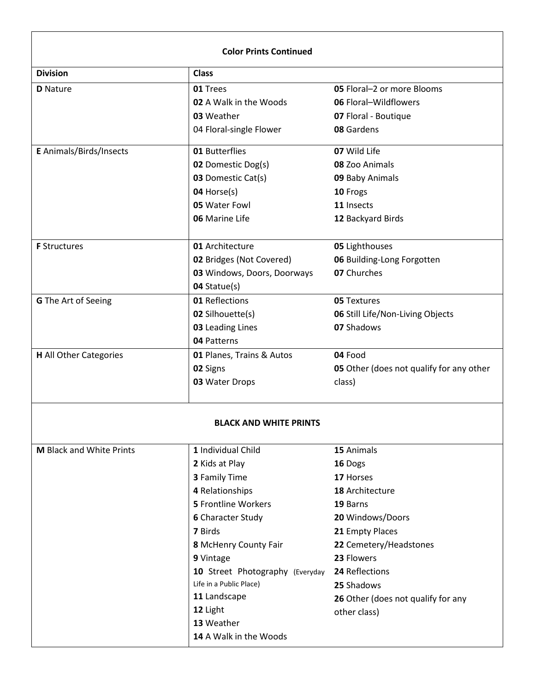| <b>Color Prints Continued</b> |                                 |                                                 |  |  |  |  |
|-------------------------------|---------------------------------|-------------------------------------------------|--|--|--|--|
| <b>Division</b>               | <b>Class</b>                    |                                                 |  |  |  |  |
| <b>D</b> Nature               | 01 Trees                        | 05 Floral-2 or more Blooms                      |  |  |  |  |
|                               | 02 A Walk in the Woods          | 06 Floral-Wildflowers                           |  |  |  |  |
|                               | 03 Weather                      | 07 Floral - Boutique                            |  |  |  |  |
|                               | 04 Floral-single Flower         | 08 Gardens                                      |  |  |  |  |
| E Animals/Birds/Insects       | 01 Butterflies                  | 07 Wild Life                                    |  |  |  |  |
|                               | <b>02</b> Domestic Dog(s)       | 08 Zoo Animals                                  |  |  |  |  |
|                               | 03 Domestic Cat(s)              | 09 Baby Animals                                 |  |  |  |  |
|                               | 04 Horse(s)                     | 10 Frogs                                        |  |  |  |  |
|                               | 05 Water Fowl                   | 11 Insects                                      |  |  |  |  |
|                               | 06 Marine Life                  | 12 Backyard Birds                               |  |  |  |  |
| <b>F</b> Structures           | 01 Architecture                 | 05 Lighthouses                                  |  |  |  |  |
|                               | 02 Bridges (Not Covered)        | 06 Building-Long Forgotten                      |  |  |  |  |
|                               | 03 Windows, Doors, Doorways     | 07 Churches                                     |  |  |  |  |
|                               | 04 Statue(s)                    |                                                 |  |  |  |  |
| <b>G</b> The Art of Seeing    | 01 Reflections                  | <b>05 Textures</b>                              |  |  |  |  |
|                               | <b>02 Silhouette(s)</b>         | 06 Still Life/Non-Living Objects                |  |  |  |  |
|                               | 03 Leading Lines                | 07 Shadows                                      |  |  |  |  |
|                               | 04 Patterns                     |                                                 |  |  |  |  |
| <b>H</b> All Other Categories | 01 Planes, Trains & Autos       | 04 Food                                         |  |  |  |  |
|                               | 02 Signs                        | <b>05</b> Other (does not qualify for any other |  |  |  |  |
|                               | 03 Water Drops                  | class)                                          |  |  |  |  |
|                               | <b>BLACK AND WHITE PRINTS</b>   |                                                 |  |  |  |  |
| M Black and White Prints      | 1 Individual Child              | 15 Animals                                      |  |  |  |  |
|                               | 2 Kids at Play                  | 16 Dogs                                         |  |  |  |  |
|                               | <b>3</b> Family Time            | 17 Horses                                       |  |  |  |  |
|                               | 4 Relationships                 | 18 Architecture                                 |  |  |  |  |
|                               | <b>5</b> Frontline Workers      | 19 Barns                                        |  |  |  |  |
|                               | <b>6</b> Character Study        | 20 Windows/Doors                                |  |  |  |  |
|                               | 7 Birds                         | 21 Empty Places                                 |  |  |  |  |
|                               | 8 McHenry County Fair           | 22 Cemetery/Headstones                          |  |  |  |  |
|                               | 9 Vintage                       | 23 Flowers                                      |  |  |  |  |
|                               | 10 Street Photography (Everyday | 24 Reflections                                  |  |  |  |  |
|                               | Life in a Public Place)         | 25 Shadows                                      |  |  |  |  |
|                               | 11 Landscape                    | 26 Other (does not qualify for any              |  |  |  |  |
|                               | 12 Light                        | other class)                                    |  |  |  |  |
|                               | 13 Weather                      |                                                 |  |  |  |  |
|                               | 14 A Walk in the Woods          |                                                 |  |  |  |  |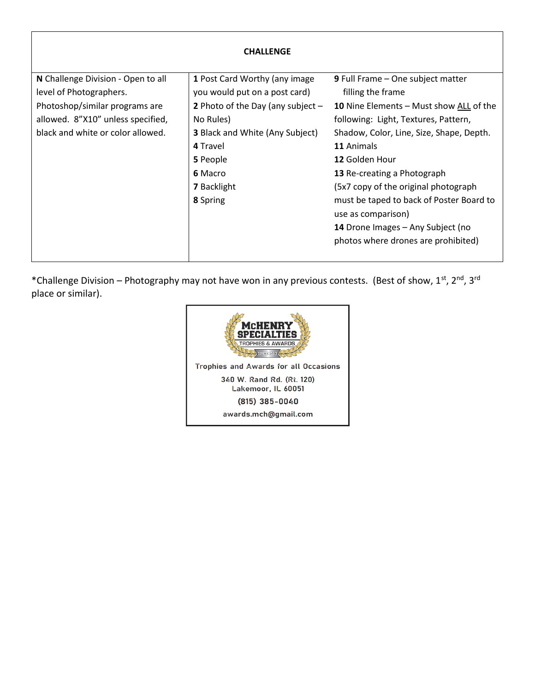| <b>CHALLENGE</b>                   |                                                                                   |                                                                                                      |  |  |  |  |
|------------------------------------|-----------------------------------------------------------------------------------|------------------------------------------------------------------------------------------------------|--|--|--|--|
| N Challenge Division - Open to all | 1 Post Card Worthy (any image                                                     | <b>9</b> Full Frame – One subject matter                                                             |  |  |  |  |
| level of Photographers.            | you would put on a post card)<br>2 Photo of the Day (any subject $-$<br>No Rules) | filling the frame<br>10 Nine Elements - Must show ALL of the<br>following: Light, Textures, Pattern, |  |  |  |  |
| Photoshop/similar programs are     |                                                                                   |                                                                                                      |  |  |  |  |
| allowed. 8"X10" unless specified,  |                                                                                   |                                                                                                      |  |  |  |  |
| black and white or color allowed.  | <b>3</b> Black and White (Any Subject)                                            | Shadow, Color, Line, Size, Shape, Depth.                                                             |  |  |  |  |
|                                    | 4 Travel                                                                          | 11 Animals                                                                                           |  |  |  |  |
|                                    | 5 People                                                                          | 12 Golden Hour                                                                                       |  |  |  |  |
|                                    | 6 Macro                                                                           | 13 Re-creating a Photograph                                                                          |  |  |  |  |
|                                    | <b>7</b> Backlight                                                                | (5x7 copy of the original photograph                                                                 |  |  |  |  |
|                                    | 8 Spring                                                                          | must be taped to back of Poster Board to<br>use as comparison)                                       |  |  |  |  |
|                                    |                                                                                   | 14 Drone Images - Any Subject (no                                                                    |  |  |  |  |
|                                    |                                                                                   | photos where drones are prohibited)                                                                  |  |  |  |  |

\*Challenge Division – Photography may not have won in any previous contests. (Best of show, 1st, 2nd, 3rd place or similar).